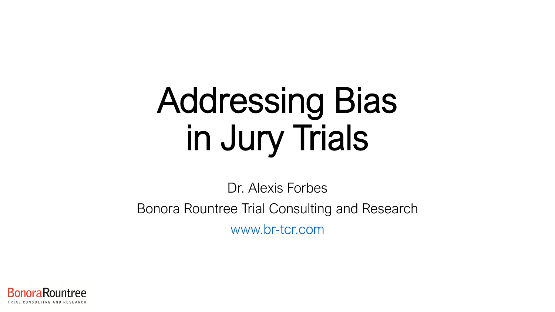# Addressing Bias in Jury Trials

Dr. Alexis Forbes Bonora Rountree Trial Consulting and Research [www.br-tcr.com](http://www.br-tcr.com/)

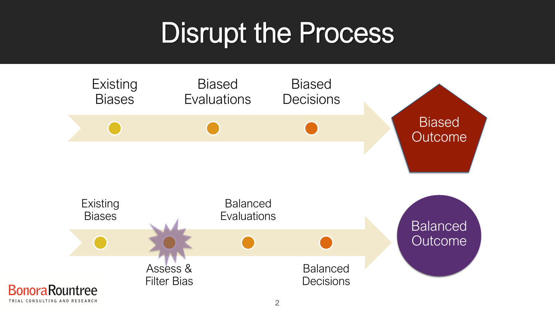## Disrupt the Process

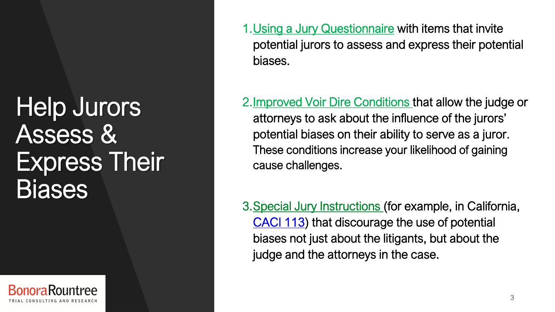Help Jurors Assess & Express Their **Biases** 



1.Using a Jury Questionnaire with items that invite potential jurors to assess and express their potential biases.

2.Improved Voir Dire Conditions that allow the judge or attorneys to ask about the influence of the jurors' potential biases on their ability to serve as a juror. These conditions increase your likelihood of gaining cause challenges.

3.Special Jury Instructions (for example, in California, [CACI 113](https://www.justia.com/trials-litigation/docs/caci/100/113/)) that discourage the use of potential biases not just about the litigants, but about the judge and the attorneys in the case.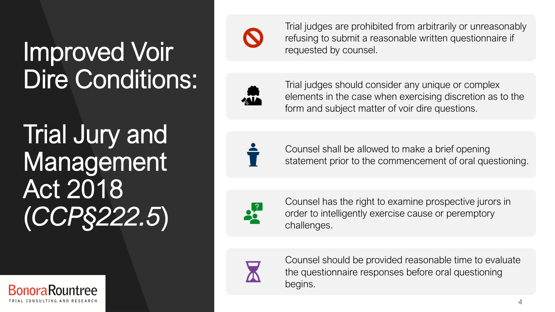#### Improved Voir Dire Conditions:

Trial Jury and Management Act 2018 (*CCP§222.5*)





Trial judges are prohibited from arbitrarily or unreasonably refusing to submit a reasonable written questionnaire if requested by counsel.



Trial judges should consider any unique or complex elements in the case when exercising discretion as to the form and subject matter of voir dire questions.



Counsel shall be allowed to make a brief opening statement prior to the commencement of oral questioning.



Counsel has the right to examine prospective jurors in order to intelligently exercise cause or peremptory challenges.



Counsel should be provided reasonable time to evaluate the questionnaire responses before oral questioning begins.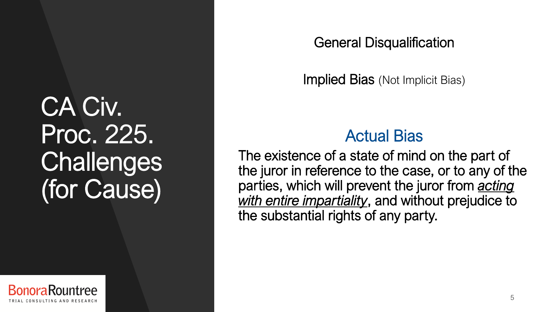#### CA Civ. Proc. 225. **Challenges** (for Cause)



General Disqualification

Implied Bias (Not Implicit Bias)

#### Actual Bias

The existence of a state of mind on the part of the juror in reference to the case, or to any of the parties, which will prevent the juror from *acting with entire impartiality*, and without prejudice to the substantial rights of any party.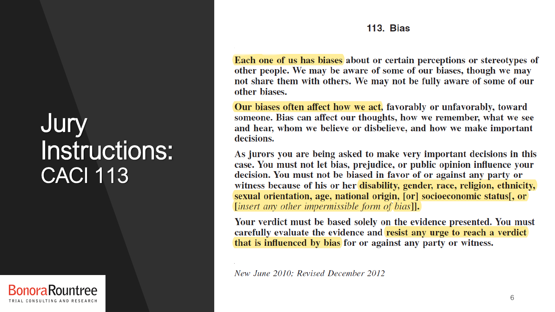#### **Jury** Instructions: CACI 113



Each one of us has biases about or certain perceptions or stereotypes of other people. We may be aware of some of our biases, though we may not share them with others. We may not be fully aware of some of our other biases.

Our biases often affect how we act, favorably or unfavorably, toward someone. Bias can affect our thoughts, how we remember, what we see and hear, whom we believe or disbelieve, and how we make important decisions.

As jurors you are being asked to make very important decisions in this case. You must not let bias, prejudice, or public opinion influence your decision. You must not be biased in favor of or against any party or witness because of his or her disability, gender, race, religion, ethnicity, sexual orientation, age, national origin, [or] socioeconomic status[, or [insert any other impermissible form of bias]].

Your verdict must be based solely on the evidence presented. You must carefully evaluate the evidence and resist any urge to reach a verdict that is influenced by bias for or against any party or witness.

New June 2010: Revised December 2012